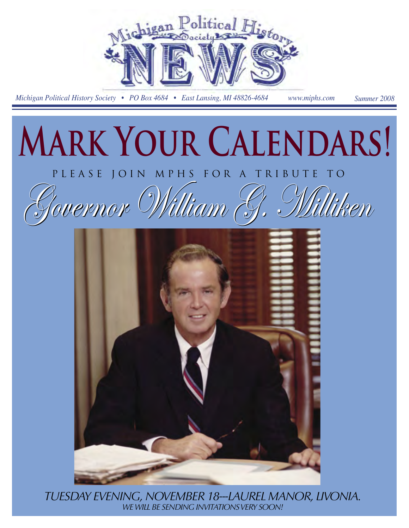

*Michigan Political History Society • PO Box 4684 • East Lansing, MI 48826-4684 www.miphs.com Summer 2008*

# **Mark Your Calendars!**

P L E A S E J O I N M P H S F O R A T R I B U T E T O



*TUESDAY EVENING, NOVEMBER 18---LAUREL MANOR, LIVONIA. WE WILL BE SENDING INVITATIONS VERY SOON!*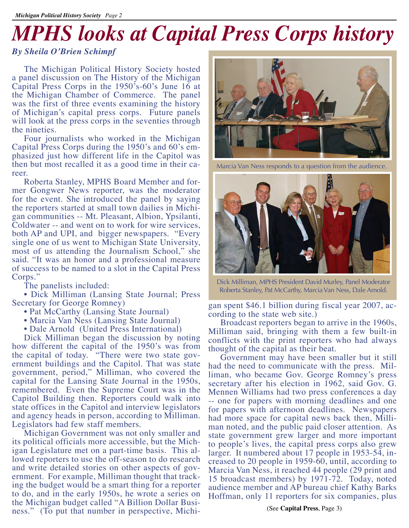# *MPHS looks at Capital Press Corps history*

#### *By Sheila O'Brien Schimpf*

The Michigan Political History Society hosted a panel discussion on The History of the Michigan Capital Press Corps in the 1950's-60's June 16 at the Michigan Chamber of Commerce. The panel was the first of three events examining the history of Michigan's capital press corps. Future panels will look at the press corps in the seventies through the nineties.

Four journalists who worked in the Michigan Capital Press Corps during the 1950's and 60's emphasized just how different life in the Capitol was then but most recalled it as a good time in their career.

Roberta Stanley, MPHS Board Member and former Gongwer News reporter, was the moderator for the event. She introduced the panel by saying the reporters started at small town dailies in Michigan communities -- Mt. Pleasant, Albion, Ypsilanti, Coldwater -- and went on to work for wire services, both AP and UPI, and bigger newspapers. "Every single one of us went to Michigan State University, most of us attending the Journalism School," she said. "It was an honor and a professional measure of success to be named to a slot in the Capital Press Corps."

The panelists included:

• Dick Milliman (Lansing State Journal; Press Secretary for George Romney)

- Pat McCarthy (Lansing State Journal)
- Marcia Van Ness (Lansing State Journal)
- Dale Arnold (United Press International)

Dick Milliman began the discussion by noting how different the capital of the 1950's was from the capital of today. "There were two state gov- ernment buildings and the Capitol. That was state government, period," Milliman, who covered the capital for the Lansing State Journal in the 1950s, remembered. Even the Supreme Court was in the Capitol Building then. Reporters could walk into state offices in the Capitol and interview legislators and agency heads in person, according to Milliman. Legislators had few staff members.

Michigan Government was not only smaller and its political officials more accessible, but the Mich-<br>igan Legislature met on a part-time basis. This al-<br>lowed reporters to use the off-season to do research and write detailed stories on other aspects of government. For example, Milliman thought that tracking the budget would be a smart thing for a reporter to do, and in the early 1950s, he wrote a series on the Michigan budget called "A Billion Dollar Business." (To put that number in perspective, Michi-



Marcia Van Ness responds to a question from the audience.



Dick Milliman, MPHS President David Murley, Panel Moderator Roberta Stanley, Pat McCarthy, Marcia Van Ness, Dale Arnold.

gan spent \$46.1 billion during fiscal year 2007, according to the state web site.)

Broadcast reporters began to arrive in the 1960s, Milliman said, bringing with them a few built-in conflicts with the print reporters who had always thought of the capital as their beat.

Government may have been smaller but it still had the need to communicate with the press. Milliman, who became Gov. George Romney's press secretary after his election in 1962, said Gov. G. Mennen Williams had two press conferences a day -- one for papers with morning deadlines and one for papers with afternoon deadlines. Newspapers had more space for capital news back then, Milliman noted, and the public paid closer attention. As state government grew larger and more important to people's lives, the capital press corps also grew larger. It numbered about 17 people in 1953-54, in- creased to 20 people in 1959-60, until, according to Marcia Van Ness, it reached 44 people (29 print and 15 broadcast members) by 1971-72. Today, noted audience member and AP bureau chief Kathy Barks Hoffman, only 11 reporters for six companies, plus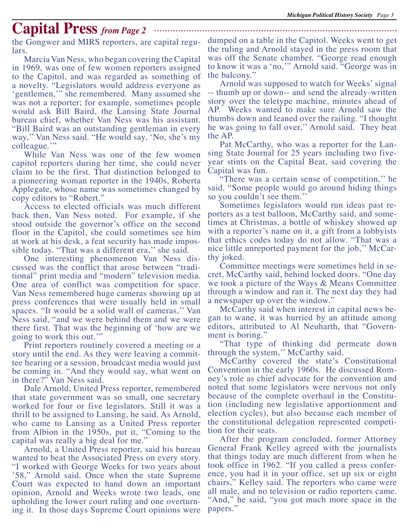**Capital Press** *from Page 2*

the Gongwer and MIRS reporters, are capital regulars.

Marcia Van Ness, who began covering the Capital in 1969, was one of few women reporters assigned to the Capitol, and was regarded as something of a novelty. "Legislators would address everyone as 'gentlemen,'" she remembered. Many assumed she was not a reporter; for example, sometimes people would ask Bill Baird, the Lansing State Journal bureau chief, whether Van Ness was his assistant. "Bill Baird was an outstanding gentleman in every way,'' Van Ness said. "He would say, 'No, she's my colleague.'"

While Van Ness was one of the few women capitol reporters during her time, she could never claim to be the first. That distinction belonged to a pioneering woman reporter in the 1940s, Roberta Applegate, whose name was sometimes changed by copy editors to "Robert."

Access to elected officials was much different back then, Van Ness noted. For example, if she stood outside the governor's office on the second floor in the Capitol, she could sometimes see him at work at his desk, a feat security has made impos- sible today. "That was a different era,'' she said.

One interesting phenomenon Van Ness dis-<br>cussed was the conflict that arose between "tradi-<br>tional" print media and "modern" television media. One area of conflict was competition for space. Van Ness remembered huge cameras showing up at press conferences that were usually held in small spaces. "It would be a solid wall of cameras,'' Van Ness said, "and we were behind them and we were there first. That was the beginning of 'how are we going to work this out.'"

Print reporters routinely covered a meeting or a story until the end. As they were leaving a commit- tee hearing or a session, broadcast media would just be coming in. "And they would say, what went on in there?" Van Ness said.

Dale Arnold, United Press reporter, remembered that state government was so small, one secretary worked for four or five legislators. Still it was a thrill to be assigned to Lansing, he said. As Arnold, who came to Lansing as a United Press reporter from Albion in the 1950s, put it, "Coming to the capital was really a big deal for me."

Arnold, a United Press reporter, said his bureau wanted to beat the Associated Press on every story. "I worked with George Weeks for two years about '58," Arnold said. Once when the state Supreme Court was expected to hand down an important opinion, Arnold and Weeks wrote two leads, one upholding the lower court ruling and one overturn-<br>ing it. In those days Supreme Court opinions were

dumped on a table in the Capitol. Weeks went to get the ruling and Arnold stayed in the press room that was off the Senate chamber. "George read enough to know it was a 'no,'" Arnold said. "George was in the balcony."

Arnold was supposed to watch for Weeks' signal -- thumb up or down-- and send the already-written story over the teletype machine, minutes ahead of AP. Weeks wanted to make sure Arnold saw the thumbs down and leaned over the railing. "I thought he was going to fall over,'' Arnold said. They beat the AP.

Pat McCarthy, who was a reporter for the Lansing State Journal for 25 years including two fiveyear stints on the Capital Beat, said covering the Capital was fun.

"There was a certain sense of competition,'' he said. "Some people would go around hiding things so you couldn't see them.''

Sometimes legislators would run ideas past reporters as a test balloon, McCarthy said, and sometimes at Christmas, a bottle of whiskey showed up with a reporter's name on it, a gift from a lobbyists that ethics codes today do not allow. "That was a nice little unreported payment for the job,'' McCarthy joked.

Committee meetings were sometimes held in secret, McCarthy said, behind locked doors. "One day we took a picture of the Ways & Means Committee through a window and ran it. The next day they had a newspaper up over the window."

McCarthy said when interest in capital news began to wane, it was hurried by an attitude among editors, attributed to Al Neuharth, that "Govern- ment is boring."

"That type of thinking did permeate down through the system,'' McCarthy said.

McCarthy covered the state's Constitutional Convention in the early 1960s. He discussed Rom- ney's role as chief advocate for the convention and noted that some legislators were nervous not only because of the complete overhaul in the Constitution (including new legislative apportionment and election cycles), but also because each member of the constitutional delegation represented competition for their seats.

After the program concluded, former Attorney General Frank Kelley agreed with the journalists that things today are much different from when he took office in 1962. "If you called a press confer- ence, you had it in your office, set up six or eight chairs," Kelley said. The reporters who came were all male, and no television or radio reporters came. "And," he said, "you got much more space in the papers."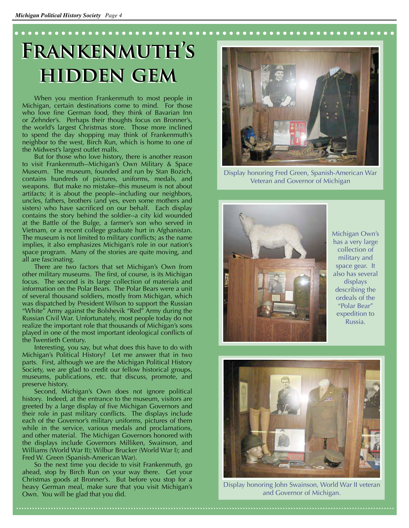# **Frankenmuth's Frankenmuth's hidden gem hidden gem**

When you mention Frankenmuth to most people in Michigan, certain destinations come to mind. For those who love fine German food, they think of Bavarian Inn or Zehnder's. Perhaps their thoughts focus on Bronner's, the world's largest Christmas store. Those more inclined to spend the day shopping may think of Frankenmuth's neighbor to the west, Birch Run, which is home to one of the Midwest's largest outlet malls.

But for those who love history, there is another reason to visit Frankenmuth--Michigan's Own Military & Space Museum. The museum, founded and run by Stan Bozich, contains hundreds of pictures, uniforms, medals, and weapons. But make no mistake--this museum is not about artifacts; it is about the people--including our neighbors, uncles, fathers, brothers (and yes, even some mothers and sisters) who have sacrificed on our behalf. Each display contains the story behind the soldier--a city kid wounded at the Battle of the Bulge, a farmer's son who served in Vietnam, or a recent college graduate hurt in Afghanistan. The museum is not limited to military conflicts; as the name implies, it also emphasizes Michigan's role in our nation's space program. Many of the stories are quite moving, and all are fascinating.

There are two factors that set Michigan's Own from other military museums. The first, of course, is its Michigan focus. The second is its large collection of materials and information on the Polar Bears. The Polar Bears were a unit of several thousand soldiers, mostly from Michigan, which was dispatched by President Wilson to support the Russian "White" Army against the Bolshevik "Red" Army during the Russian Civil War. Unfortunately, most people today do not realize the important role that thousands of Michigan's sons played in one of the most important ideological conflicts of the Twentieth Century.

Interesting, you say, but what does this have to do with Michigan's Political History? Let me answer that in two parts. First, although we are the Michigan Political History Society, we are glad to credit our fellow historical groups, museums, publications, etc. that discuss, promote, and preserve history.

Second, Michigan's Own does not ignore political history. Indeed, at the entrance to the museum, visitors are greeted by a large display of five Michigan Governors and their role in past military conflicts. The displays include each of the Governor's military uniforms, pictures of them while in the service, various medals and proclamations, and other material. The Michigan Governors honored with the displays include Governors Milliken, Swainson, and Williams (World War II); Wilbur Brucker (World War I); and Fred W. Green (Spanish-American War).

So the next time you decide to visit Frankenmuth, go ahead, stop by Birch Run on your way there. Get your Christmas goods at Bronner's. But before you stop for a heavy German meal, make sure that you visit Michigan's Own. You will be glad that you did.



Display honoring Fred Green, Spanish-American War Veteran and Governor of Michigan



Michigan Own's has a very large collection of military and space gear. It also has several displays describing the ordeals of the "Polar Bear" expedition to Russia.



Display honoring John Swainson, World War II veteran and Governor of Michigan.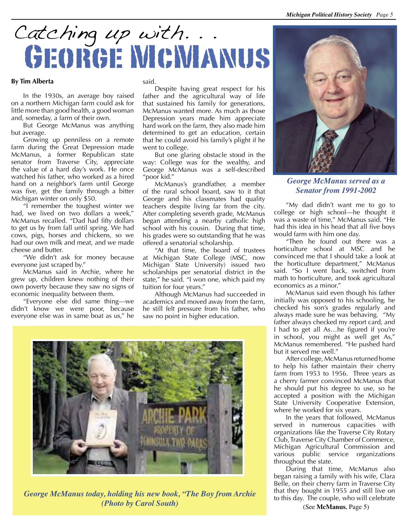# Catching up with... **GEORGE MCA...**

#### **By Tim Alberta**

In the 1930s, an average boy raised on a northern Michigan farm could ask for little more than good health, a good woman and, someday, a farm of their own.

But George McManus was anything but average.

Growing up penniless on a remote farm during the Great Depression made McManus, a former Republican state senator from Traverse City, appreciate the value of a hard day's work. He once watched his father, who worked as a hired hand on a neighbor's farm until George was five, get the family through a bitter Michigan winter on only \$50.

"I remember the toughest winter we had, we lived on two dollars a week," McManus recalled. "Dad had fifty dollars to get us by from fall until spring. We had cows, pigs, horses and chickens, so we had our own milk and meat, and we made cheese and butter.

"We didn't ask for money because everyone just scraped by."

McManus said in Archie, where he grew up, children knew nothing of their own poverty because they saw no signs of economic inequality between them.

"Everyone else did same thing—we didn't know we were poor, because everyone else was in same boat as us," he said.

Despite having great respect for his father and the agricultural way of life that sustained his family for generations, McManus wanted more. As much as those Depression years made him appreciate hard work on the farm, they also made him determined to get an education, certain that he could avoid his family's plight if he went to college.

But one glaring obstacle stood in the way: College was for the wealthy, and George McManus was a self-described "poor kid."

McManus's grandfather, a member of the rural school board, saw to it that George and his classmates had quality teachers despite living far from the city. After completing seventh grade, McManus began attending a nearby catholic high school with his cousin. During that time, his grades were so outstanding that he was offered a senatorial scholarship.

"At that time, the board of trustees at Michigan State College (MSC, now Michigan State University) issued two scholarships per senatorial district in the state," he said. "I won one, which paid my tuition for four years."

Although McManus had succeeded in academics and moved away from the farm, he still felt pressure from his father, who saw no point in higher education.



*George McManus today, holding his new book, "The Boy from Archie (Photo by Carol South)* (See **McManus**, Page 5)



*George McManus served as a Senator from 1991-2002*

"My dad didn't want me to go to college or high school—he thought it was a waste of time," McManus said. "He had this idea in his head that all five boys would farm with him one day.

"Then he found out there was a horticulture school at MSC and he convinced me that I should take a look at the horticulture department," McManus said. "So I went back, switched from math to horticulture, and took agricultural economics as a minor."

McManus said even though his father initially was opposed to his schooling, he checked his son's grades regularly and always made sure he was behaving. "My father always checked my report card, and I had to get all As…he figured if you're in school, you might as well get As," McManus remembered. "He pushed hard but it served me well."

After college, McManus returned home to help his father maintain their cherry farm from 1953 to 1956. Three years as a cherry farmer convinced McManus that he should put his degree to use, so he accepted a position with the Michigan State University Cooperative Extension, where he worked for six years.

In the years that followed, McManus served in numerous capacities with organizations like the Traverse City Rotary Club, Traverse City Chamber of Commerce, Michigan Agricultural Commission and various public service organizations throughout the state.

During that time, McManus also began raising a family with his wife, Clara Belle, on their cherry farm in Traverse City that they bought in 1955 and still live on to this day. The couple, who will celebrate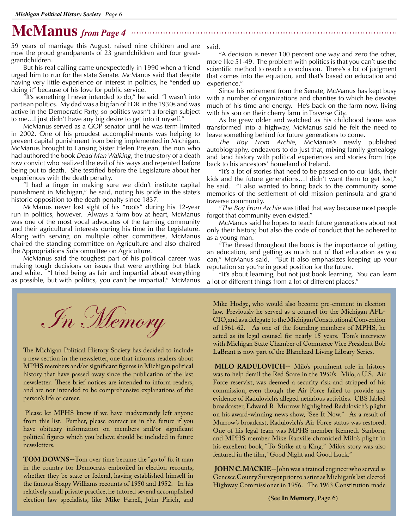### **McManus** *from Page 4*

59 years of marriage this August, raised nine children and are now the proud grandparents of 23 grandchildren and four greatgrandchildren.

But his real calling came unexpectedly in 1990 when a friend urged him to run for the state Senate. McManus said that despite having very little experience or interest in politics, he "ended up doing it" because of his love for public service.

 $\frac{d}{dx}$  it's something I never intended to do," he said. "I wasn't into partisan politics. My dad was a big fan of FDR in the 1930s and was active in the Democratic Party, so politics wasn't a foreign subject to me…I just didn't have any big desire to get into it myself."

McManus served as a GOP senator until he was term-limited in 2002. One of his proudest accomplishments was helping to prevent capital punishment from being implemented in Michigan. McManus brought to Lansing Sister Helen Prejean, the nun who had authored the book *Dead Man Walking*, the true story of a death row convict who realized the evil of his ways and repented before being put to death. She testified before the Legislature about her experiences with the death penalty.

"I had a finger in making sure we didn't institute capital punishment in Michigan," he said, noting his pride in the state's historic opposition to the death penalty since 1837.

McManus never lost sight of his "roots" during his 12-year run in politics, however. Always a farm boy at heart, McManus was one of the most vocal advocates of the farming community and their agricultural interests during his time in the Legislature. Along with serving on multiple other committees, McManus chaired the standing committee on Agriculture and also chaired the Appropriations Subcommittee on Agriculture.

McManus said the toughest part of his political career was making tough decisions on issues that were anything but black and white. "I tried being as fair and impartial about everything as possible, but with politics, you can't be impartial," McManus



The Michigan Political History Society has decided to include a new section in the newsletter, one that informs readers about MPHS members and/or significant figures in Michigan political history that have passed away since the publication of the last newsletter. These brief notices are intended to inform readers, and are not intended to be comprehensive explanations of the person's life or career.

 Please let MPHS know if we have inadvertently left anyone from this list. Further, please contact us in the future if you have obituary information on members and/or significant political figures which you believe should be included in future newsletters.

**TOM DOWNS--**Tom over time became the "go to" fix it man in the country for Democrats embroiled in election recounts, whether they be state or federal, having established himself in the famous Soapy Williams recounts of 1950 and 1952. In his relatively small private practice, he tutored several accomplished election law specialists, like Mike Farrell, John Pirich, and

said.

"A decision is never 100 percent one way and zero the other, more like 51-49. The problem with politics is that you can't use the scientific method to reach a conclusion. There's a lot of judgment that comes into the equation, and that's based on education and experience."

Since his retirement from the Senate, McManus has kept busy with a number of organizations and charities to which he devotes much of his time and energy. He's back on the farm now, living with his son on their cherry farm in Traverse City.

As he grew older and watched as his childhood home was transformed into a highway, McManus said he felt the need to leave something behind for future generations to come.

*The Boy From Archie*, McManus's newly published autobiography, endeavors to do just that, mixing family genealogy and land history with political experiences and stories from trips back to his ancestors' homeland of Ireland.

"It's a lot of stories that need to be passed on to our kids, their kids and the future generations…I didn't want them to get lost," he said. "I also wanted to bring back to the community some memories of the settlement of old mission peninsula and grand traverse community.

"*The Boy From Archie* was titled that way because most people forgot that community even existed."

McManus said he hopes to teach future generations about not only their history, but also the code of conduct that he adhered to as a young man.

"The thread throughout the book is the importance of getting an education, and getting as much out of that education as you can," McManus said. "But it also emphasizes keeping up your reputation so you're in good position for the future.

"It's about learning, but not just book learning. You can learn a lot of different things from a lot of different places."

Mike Hodge, who would also become pre-eminent in election law. Previously he served as a counsel for the Michigan AFL-CIO, and as a delegate to the Michigan Constitutional Convention of 1961-62. As one of the founding members of MPHS, he acted as its legal counsel for nearly 15 years. Tom's interview with Michigan State Chamber of Commerce Vice President Bob LaBrant is now part of the Blanchard Living Library Series.

**MILO RADULOVICH**-- Milo's prominent role in history was to help derail the Red Scare in the 1950's. Milo, a U.S. Air Force reservist, was deemed a security risk and stripped of his commission, even though the Air Force failed to provide any evidence of Radulovich's alleged nefarious activities. CBS fabled broadcaster, Edward R. Murrow highlighted Radulovich's plight on his award-winning news show, "See It Now." As a result of Murrow's broadcast, Radulovich's Air Force status was restored. One of his legal team was MPHS member Kenneth Sanborn; and MPHS member Mike Ranville chronicled Milo's plight in his excellent book, "To Strike at a King." Milo's story was also featured in the film, "Good Night and Good Luck."

**JOHN C. MACKIE**--John was a trained engineer who served as Genesee County Surveyor prior to a stint as Michigan's last elected Highway Commissioner in 1956. The 1963 Constitution made

(See **In Memory**, Page 6)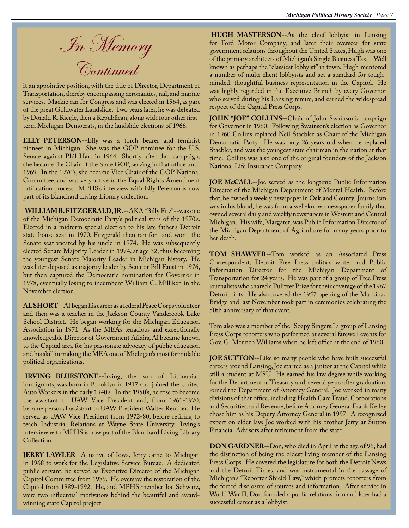it an appointive position, with the title of Director, Department of Transportation, thereby encompassing aeronautics, rail, and marine services. Mackie ran for Congress and was elected in 1964, as part of the great Goldwater Landslide. Two years later, he was defeated by Donald R. Riegle, then a Republican, along with four other firstterm Michigan Democrats, in the landslide elections of 1966.

**ELLY PETERSON**--Elly was a torch bearer and feminist pioneer in Michigan. She was the GOP nominee for the U.S. Senate against Phil Hart in 1964. Shortly after that campaign, she became the Chair of the State GOP, serving in that office until 1969. In the 1970's, she became Vice Chair of the GOP National Committee, and was very active in the Equal Rights Amendment ratification process. MPHS's interview with Elly Peterson is now part of its Blanchard Living Library collection.

**WILLIAM B. FITZGERALD, JR.**--AKA "Billy Fitz"--was one of the Michigan Democratic Party's political stars of the 1970's. Elected in a midterm special election to his late father's Detroit state house seat in 1970, Fitzgerald then ran for--and won--the Senate seat vacated by his uncle in 1974. He was subsequently elected Senate Majority Leader in 1974, at age 32, thus becoming the youngest Senate Majority Leader in Michigan history. He was later deposed as majority leader by Senator Bill Faust in 1976, but then captured the Democratic nomination for Governor in 1978, eventually losing to incumbent William G. Milliken in the November election.

**AL SHORT**--Al began his career as a federal Peace Corps volunteer and then was a teacher in the Jackson County Vandercook Lake School District. He began working for the Michigan Education Association in 1971. As the MEA's tenacious and exceptionally knowledgeable Director of Government Affairs, Al became known to the Capital area for his passionate advocacy of public education and his skill in making the MEA one of Michigan's most formidable political organizations.

**IRVING BLUESTONE**--Irving, the son of Lithuanian immigrants, was born in Brooklyn in 1917 and joined the United Auto Workers in the early 1940's. In the 1950's, he rose to become the assistant to UAW Vice President and, from 1961-1970, became personal assistant to UAW President Walter Reuther. He served as UAW Vice President from 1972-80, before retiring to teach Industrial Relations at Wayne State University. Irving's interview with MPHS is now part of the Blanchard Living Library Collection.

**JERRY LAWLER--A** native of Iowa, Jerry came to Michigan in 1968 to work for the Legislative Service Bureau. A dedicated public servant, he served as Executive Director of the Michigan Capitol Committee from 1989. He oversaw the restoration of the Capitol from 1989-1992. He, and MPHS member Joe Schwarz, were two influential motivators behind the beautiful and awardwinning state Capitol project.

**HUGH MASTERSON**--As the chief lobbyist in Lansing for Ford Motor Company, and later their overseer for state government relations throughout the United States, Hugh was one of the primary architects of Michigan's Single Business Tax. Well known as perhaps the "classiest lobbyist" in town, Hugh mentored a number of multi-client lobbyists and set a standard for toughminded, thoughtful business representation in the Capitol. He was highly regarded in the Executive Branch by every Governor who served during his Lansing tenure, and earned the widespread respect of the Capital Press Corps.

**JOHN "JOE" COLLINS**--Chair of John Swainson's campaign for Governor in 1960. Following Swainson's election as Governor in 1960 Collins replaced Neil Staebler as Chair of the Michigan Democratic Party. He was only 26 years old when he replaced Staebler, and was the youngest state chairman in the nation at that time. Collins was also one of the original founders of the Jackson National Life Insurance Company.

**JOE McCALL**--Joe served as the longtime Public Information Director of the Michigan Department of Mental Health. Before that, he owned a weekly newspaper in Oakland County. Journalism was in his blood; he was from a well-known newspaper family that owned several daily and weekly newspapers in Western and Central Michigan. His wife, Margaret, was Public Information Director of the Michigan Department of Agriculture for many years prior to her death.

**TOM SHAWVER--**Tom worked as an Associated Press Correspondent, Detroit Free Press politics writer and Public Information Director for the Michigan Department of Transportation for 24 years. He was part of a group of Free Press journalists who shared a Pulitzer Prize for their coverage of the 1967 Detroit riots. He also covered the 1957 opening of the Mackinac Bridge and last November took part in ceremonies celebrating the 50th anniversary of that event.

Tom also was a member of the "Soapy Singers," a group of Lansing Press Corps reporters who performed at several farewell events for Gov. G. Mennen Williams when he left office at the end of 1960.

**JOE SUTTON--**Like so many people who have built successful careers around Lansing, Joe started as a janitor at the Capitol while still a student at MSU. He earned his law degree while working for the Department of Treasury and, several years after graduation, joined the Department of Attorney General. Joe worked in many divisions of that office, including Health Care Fraud, Corporations and Securities, and Revenue, before Attorney General Frank Kelley chose him as his Deputy Attorney General in 1997. A recognized expert on elder law, Joe worked with his brother Jerry at Sutton Financial Advisors after retirement from the state.

**DON GARDNER--**Don, who died in April at the age of 96, had the distinction of being the oldest living member of the Lansing Press Corps. He covered the legislature for both the Detroit News and the Detroit Times, and was instrumental in the passage of Michigan's "Reporter Shield Law," which protects reporters from the forced disclosure of sources and information. After service in World War II, Don founded a public relations firm and later had a successful career as a lobbyist.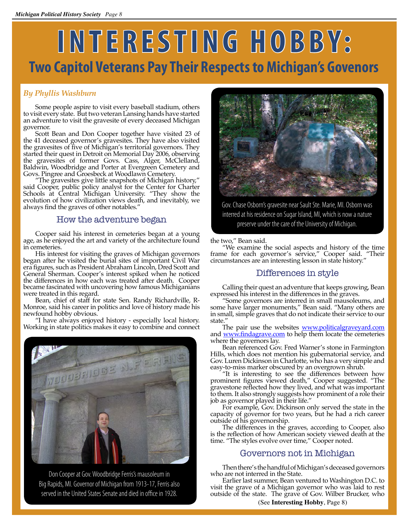# **I N T E R E S T I N G H O B B Y : Two Capitol Veterans Pay Their Respects to Michigan's Govenors**

#### *By Phyllis Washburn*

Some people aspire to visit every baseball stadium, others to visit every state. But two veteran Lansing hands have started an adventure to visit the gravesite of every deceased Michigan

Goott Bean and Don Cooper together have visited 23 of the 41 deceased governor's gravesites. They have also visited the gravesites of five of Michigan's territorial governors. They started their quest in Detroit on Memorial Day 2006, observing the gravesites of former Govs. Cass, Alger, McClelland, Baldwin, Woodbridge and Porter at Evergreen Cemetery and Govs. Pingree and Groesbeck at Woodlawn Cemetery.

Govs. Pingree and Groesbeck at Woodlawn Cemetery. "The gravesites give little snapshots of Michigan history," said Cooper, public policy analyst for the Center for Charter Schools at Central Michigan University. "They show the evolution of how civilization views death, and inevitably, we always find the graves of other notables."

#### How the adventure began

Cooper said his interest in cemeteries began at a young age, as he enjoyed the art and variety of the architecture found in cemeteries.

His interest for visiting the graves of Michigan governors began after he visited the burial sites of important Civil War era figures, such as President Abraham Lincoln, Dred Scott and General Sherman. Cooper's interest spiked when he noticed the differences in how each was treated after death. Cooper became fascinated with uncovering how famous Michiganians were treated in this regard.

Bean, chief of staff for state Sen. Randy Richardville, R-Monroe, said his career in politics and love of history made his newfound hobby obvious.

"I have always enjoyed history - especially local history. Working in state politics makes it easy to combine and connect



Don Cooper at Gov. Woodbridge Ferris's mausoleum in Big Rapids, MI. Governor of Michigan from 1913-17, Ferris also served in the United States Senate and died in office in 1928.



Gov. Chase Osborn's gravesite near Sault Ste. Marie, MI. Osborn was interred at his residence on Sugar Island, MI, which is now a nature preserve under the care of the University of Michigan.

#### the two," Bean said.

"We examine the social aspects and history of the time frame for each governor's service," Cooper said. "Their circumstances are an interesting lesson in state history."

#### Differences in style

Calling their quest an adventure that keeps growing, Bean expressed his interest in the differences in the graves.

"Some governors are interred in small mausoleums, and some have larger monuments," Bean said. "Many others are in small, simple graves that do not indicate their service to our state."

The pair use the websites www.politicalgraveyard.com and <u>www.findagrave.com</u> to help them locate the cemeteries where the governors lay.

Bean referenced Gov. Fred Warner's stone in Farmington Hills, which does not mention his gubernatorial service, and Gov. Luren Dickinson in Charlotte, who has a very simple and easy-to-miss marker obscured by an overgrown shrub.

"It is interesting to see the differences between how prominent figures viewed death," Cooper suggested. "The gravestone reflected how they lived, and what was important to them. It also strongly suggests how prominent of a role their job as governor played in their life."

For example, Gov. Dickinson only served the state in the capacity of governor for two years, but he had a rich career outside of his governorship.

The differences in the graves, according to Cooper, also is the reflection of how American society viewed death at the time. "The styles evolve over time," Cooper noted.

#### Governors not in Michigan

Then there's the handful of Michigan's deceased governors who are not interred in the State.

Earlier last summer, Bean ventured to Washington D.C. to visit the grave of a Michigan governor who was laid to rest outside of the state. The grave of Gov. Wilber Brucker, who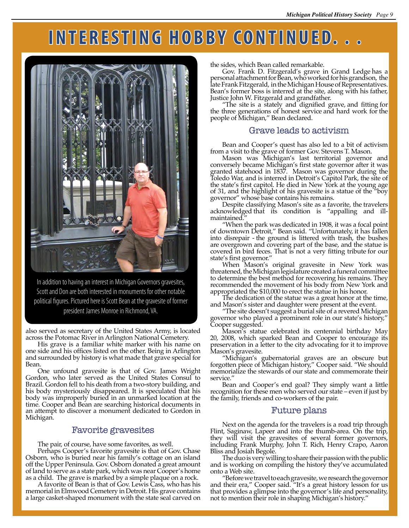## INTERESTING HOBBY CONTINUED.



In addition to having an interest in Michigan Governors gravesites, Scott and Don are both interested in monuments for other notable political figures. Pictured here is Scott Bean at the gravesite of former president James Monroe in Richmond, VA.

also served as secretary of the United States Army, is located across the Potomac River in Arlington National Cemetery.

His grave is a familiar white marker with his name on one side and his offices listed on the other. Being in Arlington and surrounded by history is what made that grave special for

Bean.<br>One unfound gravesite is that of Gov. James Wright Gordon, who later served as the United States Consul to Brazil. Gordon fell to his death from a two-story building, and his body mysteriously disappeared. It is speculated that his body was improperly buried in an unmarked location at the time. Cooper and Bean are searching historical documents in an attempt to discover a monument dedicated to Gordon in Michigan.

#### Favorite gravesites

The pair, of course, have some favorites, as well.

Perhaps Cooper's favorite gravesite is that of Gov. Chase Osborn, who is buried near his family's cottage on an island off the Upper Peninsula. Gov. Osborn donated a great amount of land to serve as a state park, which was near Cooper's home as a child. The grave is marked by a simple plaque on a rock.

A favorite of Bean is that of Gov. Lewis Cass, who has his memorial in Elmwood Cemetery in Detroit. His grave contains a large casket-shaped monument with the state seal carved on

the sides, which Bean called remarkable.<br>Gov. Frank D. Fitzgerald's grave in Grand Ledge has a personal attachment for Bean, who worked for his grandson, the late Frank Fitzgerald, in the Michigan House of Representatives. Bean's former boss is interred at the site, along with his father,

Justice John W. Fitzgerald and grandfather. "The site is a stately and dignified grave, and fitting for the three generations of honest service and hard work for the people of Michigan," Bean declared.

#### Grave leads to activism

Bean and Cooper's quest has also led to a bit of activism<mark>.</mark> from a visit to the grave of former Gov. Stevens T. Mason.

Mason was Michigan's last territorial governor and<mark>l</mark> conversely became Michigan's first state governor after it was granted statehood in 1837. Mason was governor during the Toledo War, and is interred in Detroit's Capitol Park, the site of the state's first capitol. He died in New York at the young age of 31, and the highlight of his gravesite is a statue of the "boy" governor" whose base contains his remains.

Despite classifying Mason's site as a favorite, the travelers acknowledged that its condition is "appalling and illmaintained."

"When the park was dedicated in 1908, it was a focal point of downtown Detroit," Bean said. "Unfortunately, it has fallen into disrepair - the ground is littered with trash, the bushes are overgrown and covering part of the base, and the statue is covered in bird feces. That is not a very fitting tribute for our state's first governor."

When Mason's original gravesite in New York was threatened, the Michigan legislature created a funeral committee to determine the best method for recovering his remains. They recommended the movement of his body from New York and appropriated the \$10,000 to erect the statue in his honor.

The dedication of the statue was a great honor at the time, and Mason's sister and daughter were present at the event.

"The site doesn't suggest a burial site of a revered Michigan governor who played a prominent role in our state's history," Cooper suggested.

Mason's statue celebrated its centennial birthday May 20, 2008, which sparked Bean and Cooper to encourage its preservation in a letter to the city advocating for it to improve Mason's gravesite.

"Michigan's gubernatorial graves are an obscure but forgotten piece of Michigan history," Cooper said. "We should memorialize the stewards of our state and commemorate their service."

Bean and Cooper's end goal? They simply want a little recognition for these men who served our state – even if just by the family, friends and co-workers of the pair.

#### Future plans

Next on the agenda for the travelers is a road trip through Flint, Saginaw, Lapeer and into the thumb-area. On the trip, they will visit the gravesites of several former governors, including Frank Murphy, John T. Rich, Henry Crapo, Aaron Bliss and Josiah Begole.

The duo is very willing to share their passion with the public and is working on compiling the history they've accumulated onto a Web site.

"Before we travel to each gravesite, we research the governor and their era," Cooper said. "It's a great history lesson for us that provides a glimpse into the governor's life and personality, not to mention their role in shaping Michigan's history."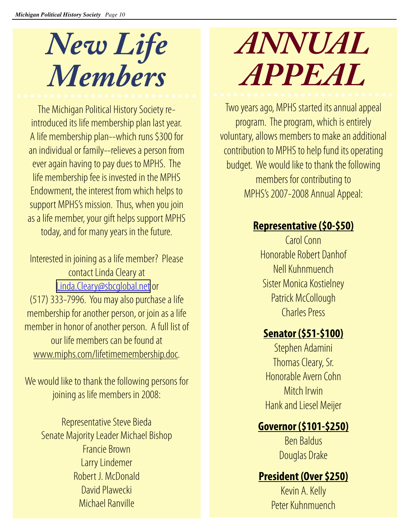*New Life Members*

The Michigan Political History Society reintroduced its life membership plan last year. A life membership plan--which runs \$300 for an individual or family--relieves a person from ever again having to pay dues to MPHS. The life membership fee is invested in the MPHS Endowment, the interest from which helps to support MPHS's mission. Thus, when you join as a life member, your gift helps support MPHS today, and for many years in the future.

Interested in joining as a life member? Please contact Linda Cleary at [Linda.Cleary@sbcglobal.net](mailto:Linda.Cleary@sbcglobal.net) or (517) 333-7996. You may also purchase a life membership for another person, or join as a life member in honor of another person. A full list of our life members can be found at www.miphs.com/lifetimemembership.doc.

We would like to thank the following persons for joining as life members in 2008:

Representative Steve Bieda Senate Majority Leader Michael Bishop Francie Brown Larry Lindemer Robert J. McDonald David Plawecki Michael Ranville

# *ANNUAL APPEAL*

Two years ago, MPHS started its annual appeal program. The program, which is entirely voluntary, allows members to make an additional contribution to MPHS to help fund its operating budget. We would like to thank the following members for contributing to MPHS's 2007-2008 Annual Appeal:

### **Representative (\$0-\$50)**

Carol Conn Honorable Robert Danhof Nell Kuhnmuench Sister Monica Kostielney Patrick McCollough Charles Press

### **Senator (\$51-\$100)**

Stephen Adamini Thomas Cleary, Sr. Honorable Avern Cohn Mitch Irwin Hank and Liesel Meijer

### **Governor (\$101-\$250)**

Ben Baldus Douglas Drake

### **President (Over \$250)**

Kevin A. Kelly Peter Kuhnmuench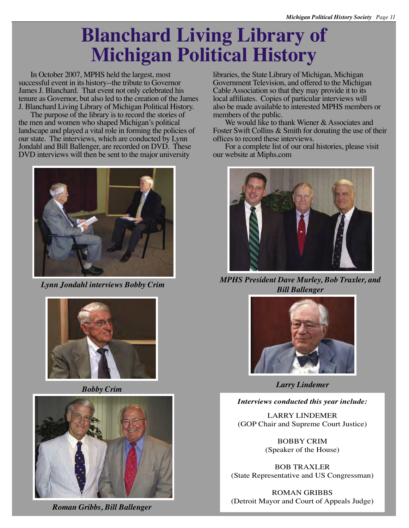# **Blanchard Living Library of Michigan Political History**

In October 2007, MPHS held the largest, most successful event in its history--the tribute to Governor James J. Blanchard. That event not only celebrated his tenure as Governor, but also led to the creation of the James J. Blanchard Living Library of Michigan Political History.

The purpose of the library is to record the stories of the men and women who shaped Michigan's political landscape and played a vital role in forming the policies of our state. The interviews, which are conducted by Lynn Jondahl and Bill Ballenger, are recorded on DVD. These DVD interviews will then be sent to the major university



*Lynn Jondahl interviews Bobby Crim*





*Roman Gribbs, Bill Ballenger*

libraries, the State Library of Michigan, Michigan Government Television, and offered to the Michigan Cable Association so that they may provide it to its local affiliates. Copies of particular interviews will also be made available to interested MPHS members or members of the public.

We would like to thank Wiener & Associates and Foster Swift Collins & Smith for donating the use of their offices to record these interviews.

For a complete list of our oral histories, please visit our website at Miphs.com



*MPHS President Dave Murley, Bob Traxler, and Bill Ballenger*



*Bobby Crim Larry Lindemer*

*Interviews conducted this year include:*

LARRY LINDEMER (GOP Chair and Supreme Court Justice)

> BOBBY CRIM (Speaker of the House)

BOB TRAXLER (State Representative and US Congressman)

ROMAN GRIBBS (Detroit Mayor and Court of Appeals Judge)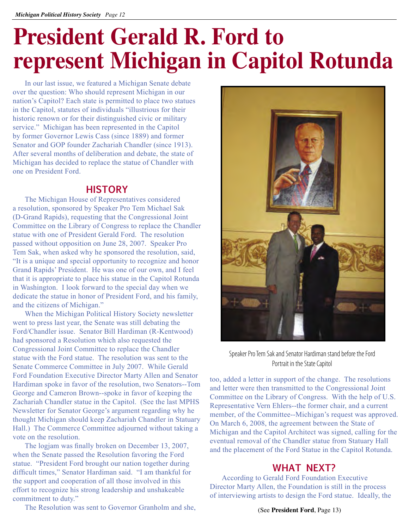# **President Gerald R. Ford to represent Michigan in Capitol Rotunda**

In our last issue, we featured a Michigan Senate debate over the question: Who should represent Michigan in our nation's Capitol? Each state is permitted to place two statues in the Capitol, statutes of individuals "illustrious for their historic renown or for their distinguished civic or military service." Michigan has been represented in the Capitol by former Governor Lewis Cass (since 1889) and former Senator and GOP founder Zachariah Chandler (since 1913). After several months of deliberation and debate, the state of Michigan has decided to replace the statue of Chandler with one on President Ford.

#### **HISTORY**

The Michigan House of Representatives considered a resolution, sponsored by Speaker Pro Tem Michael Sak (D-Grand Rapids), requesting that the Congressional Joint Committee on the Library of Congress to replace the Chandler statue with one of President Gerald Ford. The resolution passed without opposition on June 28, 2007. Speaker Pro Tem Sak, when asked why he sponsored the resolution, said, "It is a unique and special opportunity to recognize and honor Grand Rapids' President. He was one of our own, and I feel that it is appropriate to place his statue in the Capitol Rotunda in Washington. I look forward to the special day when we dedicate the statue in honor of President Ford, and his family, and the citizens of Michigan."

When the Michigan Political History Society newsletter went to press last year, the Senate was still debating the Ford/Chandler issue. Senator Bill Hardiman (R-Kentwood) had sponsored a Resolution which also requested the Congressional Joint Committee to replace the Chandler statue with the Ford statue. The resolution was sent to the Senate Commerce Committee in July 2007. While Gerald Ford Foundation Executive Director Marty Allen and Senator Hardiman spoke in favor of the resolution, two Senators--Tom George and Cameron Brown--spoke in favor of keeping the Zachariah Chandler statue in the Capitol. (See the last MPHS Newsletter for Senator George's argument regarding why he thought Michigan should keep Zachariah Chandler in Statuary Hall.) The Commerce Committee adjourned without taking a vote on the resolution.

The logjam was finally broken on December 13, 2007, when the Senate passed the Resolution favoring the Ford statue. "President Ford brought our nation together during difficult times," Senator Hardiman said. "I am thankful for the support and cooperation of all those involved in this effort to recognize his strong leadership and unshakeable commitment to duty."

The Resolution was sent to Governor Granholm and she,



Speaker Pro Tem Sak and Senator Hardiman stand before the Ford Portrait in the State Capitol

too, added a letter in support of the change. The resolutions and letter were then transmitted to the Congressional Joint Committee on the Library of Congress. With the help of U.S. Representative Vern Ehlers--the former chair, and a current member, of the Committee--Michigan's request was approved. On March 6, 2008, the agreement between the State of Michigan and the Capitol Architect was signed, calling for the eventual removal of the Chandler statue from Statuary Hall and the placement of the Ford Statue in the Capitol Rotunda.

#### **WHAT NEXT?**

According to Gerald Ford Foundation Executive Director Marty Allen, the Foundation is still in the process of interviewing artists to design the Ford statue. Ideally, the

(See **President Ford**, Page 13)